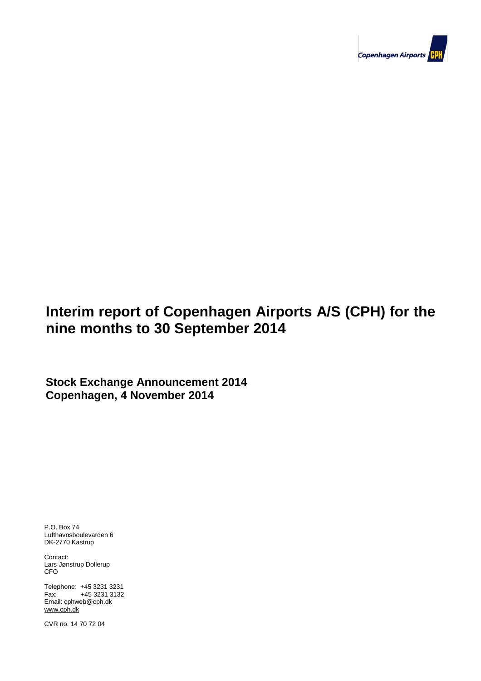

# **Interim report of Copenhagen Airports A/S (CPH) for the nine months to 30 September 2014**

**Stock Exchange Announcement 2014 Copenhagen, 4 November 2014**

P.O. Box 74 Lufthavnsboulevarden 6 DK-2770 Kastrup

Contact: Lars Jønstrup Dollerup CFO

**Contents** Telephone: +45 3231 3231 **Contents** Fax: +45 3231 3132 Email: cphweb@cph.dk www.cph.dk

Company and the set of 23 Page 1 of 23 Page 1 of 23 Page 1 of 23 Page 1 of 23 Page 1 of 23 Page 1 of 23 Page 1 CVR no. 14 70 72 04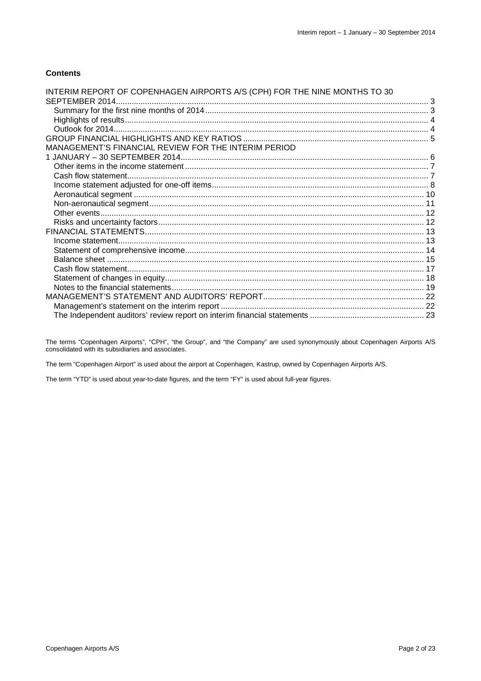#### **Contents**

| INTERIM REPORT OF COPENHAGEN AIRPORTS A/S (CPH) FOR THE NINE MONTHS TO 30 |  |
|---------------------------------------------------------------------------|--|
|                                                                           |  |
|                                                                           |  |
|                                                                           |  |
|                                                                           |  |
|                                                                           |  |
| MANAGEMENT'S FINANCIAL REVIEW FOR THE INTERIM PERIOD                      |  |
|                                                                           |  |
|                                                                           |  |
|                                                                           |  |
|                                                                           |  |
|                                                                           |  |
|                                                                           |  |
|                                                                           |  |
|                                                                           |  |
|                                                                           |  |
|                                                                           |  |
|                                                                           |  |
|                                                                           |  |
|                                                                           |  |
|                                                                           |  |
|                                                                           |  |
|                                                                           |  |
|                                                                           |  |
|                                                                           |  |

The terms "Copenhagen Airports", "CPH", "the Group", and "the Company" are used synonymously about Copenhagen Airports A/S consolidated with its subsidiaries and associates.

The term "Copenhagen Airport" is used about the airport at Copenhagen, Kastrup, owned by Copenhagen Airports A/S.

The term "YTD" is used about year-to-date figures, and the term "FY" is used about full-year figures.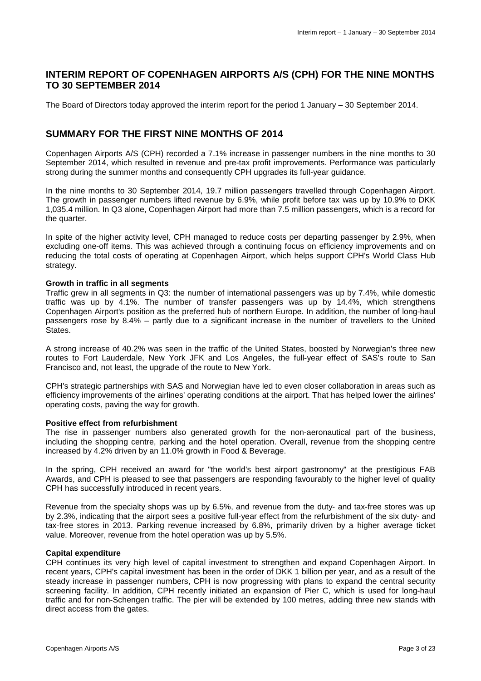### **INTERIM REPORT OF COPENHAGEN AIRPORTS A/S (CPH) FOR THE NINE MONTHS TO 30 SEPTEMBER 2014**

The Board of Directors today approved the interim report for the period 1 January – 30 September 2014.

### **SUMMARY FOR THE FIRST NINE MONTHS OF 2014**

Copenhagen Airports A/S (CPH) recorded a 7.1% increase in passenger numbers in the nine months to 30 September 2014, which resulted in revenue and pre-tax profit improvements. Performance was particularly strong during the summer months and consequently CPH upgrades its full-year guidance.

In the nine months to 30 September 2014, 19.7 million passengers travelled through Copenhagen Airport. The growth in passenger numbers lifted revenue by 6.9%, while profit before tax was up by 10.9% to DKK 1,035.4 million. In Q3 alone, Copenhagen Airport had more than 7.5 million passengers, which is a record for the quarter.

In spite of the higher activity level, CPH managed to reduce costs per departing passenger by 2.9%, when excluding one-off items. This was achieved through a continuing focus on efficiency improvements and on reducing the total costs of operating at Copenhagen Airport, which helps support CPH's World Class Hub strategy.

#### **Growth in traffic in all segments**

Traffic grew in all segments in Q3: the number of international passengers was up by 7.4%, while domestic traffic was up by 4.1%. The number of transfer passengers was up by 14.4%, which strengthens Copenhagen Airport's position as the preferred hub of northern Europe. In addition, the number of long-haul passengers rose by 8.4% – partly due to a significant increase in the number of travellers to the United States.

A strong increase of 40.2% was seen in the traffic of the United States, boosted by Norwegian's three new routes to Fort Lauderdale, New York JFK and Los Angeles, the full-year effect of SAS's route to San Francisco and, not least, the upgrade of the route to New York.

CPH's strategic partnerships with SAS and Norwegian have led to even closer collaboration in areas such as efficiency improvements of the airlines' operating conditions at the airport. That has helped lower the airlines' operating costs, paving the way for growth.

#### **Positive effect from refurbishment**

The rise in passenger numbers also generated growth for the non-aeronautical part of the business, including the shopping centre, parking and the hotel operation. Overall, revenue from the shopping centre increased by 4.2% driven by an 11.0% growth in Food & Beverage.

In the spring, CPH received an award for "the world's best airport gastronomy" at the prestigious FAB Awards, and CPH is pleased to see that passengers are responding favourably to the higher level of quality CPH has successfully introduced in recent years.

Revenue from the specialty shops was up by 6.5%, and revenue from the duty- and tax-free stores was up by 2.3%, indicating that the airport sees a positive full-year effect from the refurbishment of the six duty- and tax-free stores in 2013. Parking revenue increased by 6.8%, primarily driven by a higher average ticket value. Moreover, revenue from the hotel operation was up by 5.5%.

#### **Capital expenditure**

CPH continues its very high level of capital investment to strengthen and expand Copenhagen Airport. In recent years, CPH's capital investment has been in the order of DKK 1 billion per year, and as a result of the steady increase in passenger numbers, CPH is now progressing with plans to expand the central security screening facility. In addition, CPH recently initiated an expansion of Pier C, which is used for long-haul traffic and for non-Schengen traffic. The pier will be extended by 100 metres, adding three new stands with direct access from the gates.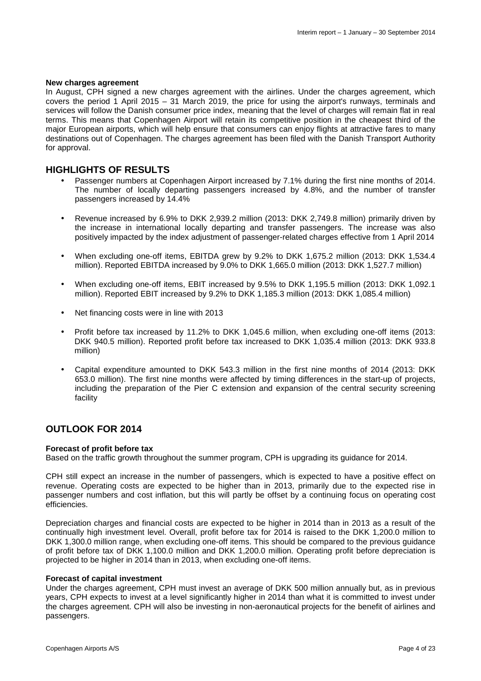#### **New charges agreement**

In August, CPH signed a new charges agreement with the airlines. Under the charges agreement, which covers the period 1 April 2015 – 31 March 2019, the price for using the airport's runways, terminals and services will follow the Danish consumer price index, meaning that the level of charges will remain flat in real terms. This means that Copenhagen Airport will retain its competitive position in the cheapest third of the major European airports, which will help ensure that consumers can enjoy flights at attractive fares to many destinations out of Copenhagen. The charges agreement has been filed with the Danish Transport Authority for approval.

#### **HIGHLIGHTS OF RESULTS**

- Passenger numbers at Copenhagen Airport increased by 7.1% during the first nine months of 2014. The number of locally departing passengers increased by 4.8%, and the number of transfer passengers increased by 14.4%
- Revenue increased by 6.9% to DKK 2,939.2 million (2013: DKK 2,749.8 million) primarily driven by the increase in international locally departing and transfer passengers. The increase was also positively impacted by the index adjustment of passenger-related charges effective from 1 April 2014
- When excluding one-off items, EBITDA grew by 9.2% to DKK 1,675.2 million (2013: DKK 1,534.4 million). Reported EBITDA increased by 9.0% to DKK 1,665.0 million (2013: DKK 1,527.7 million)
- When excluding one-off items, EBIT increased by 9.5% to DKK 1,195.5 million (2013: DKK 1,092.1 million). Reported EBIT increased by 9.2% to DKK 1,185.3 million (2013: DKK 1,085.4 million)
- Net financing costs were in line with 2013
- Profit before tax increased by 11.2% to DKK 1,045.6 million, when excluding one-off items (2013: DKK 940.5 million). Reported profit before tax increased to DKK 1,035.4 million (2013: DKK 933.8 million)
- Capital expenditure amounted to DKK 543.3 million in the first nine months of 2014 (2013: DKK 653.0 million). The first nine months were affected by timing differences in the start-up of projects, including the preparation of the Pier C extension and expansion of the central security screening facility

#### **OUTLOOK FOR 2014**

#### **Forecast of profit before tax**

Based on the traffic growth throughout the summer program, CPH is upgrading its guidance for 2014.

CPH still expect an increase in the number of passengers, which is expected to have a positive effect on revenue. Operating costs are expected to be higher than in 2013, primarily due to the expected rise in passenger numbers and cost inflation, but this will partly be offset by a continuing focus on operating cost efficiencies.

Depreciation charges and financial costs are expected to be higher in 2014 than in 2013 as a result of the continually high investment level. Overall, profit before tax for 2014 is raised to the DKK 1,200.0 million to DKK 1,300.0 million range, when excluding one-off items. This should be compared to the previous guidance of profit before tax of DKK 1,100.0 million and DKK 1,200.0 million. Operating profit before depreciation is projected to be higher in 2014 than in 2013, when excluding one-off items.

#### **Forecast of capital investment**

Under the charges agreement, CPH must invest an average of DKK 500 million annually but, as in previous years, CPH expects to invest at a level significantly higher in 2014 than what it is committed to invest under the charges agreement. CPH will also be investing in non-aeronautical projects for the benefit of airlines and passengers.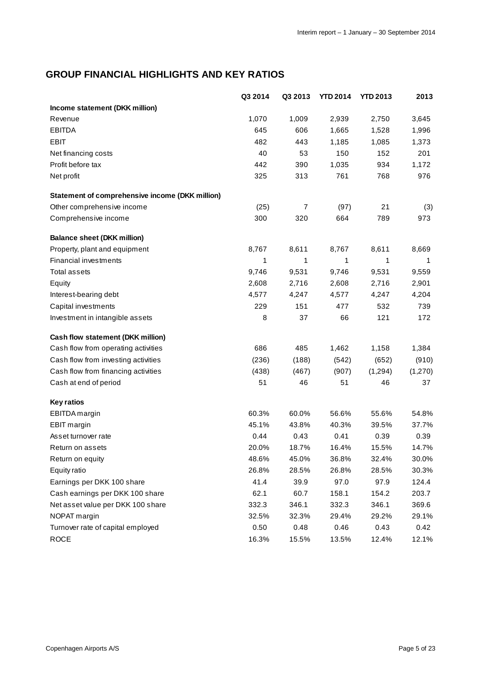## **GROUP FINANCIAL HIGHLIGHTS AND KEY RATIOS**

|                                                        | Q3 2014 | Q3 2013 | <b>YTD 2014</b> | <b>YTD 2013</b> | 2013    |
|--------------------------------------------------------|---------|---------|-----------------|-----------------|---------|
| Income statement (DKK million)                         |         |         |                 |                 |         |
| Revenue                                                | 1,070   | 1,009   | 2,939           | 2,750           | 3,645   |
| <b>EBITDA</b>                                          | 645     | 606     | 1,665           | 1,528           | 1,996   |
| <b>EBIT</b>                                            | 482     | 443     | 1,185           | 1,085           | 1,373   |
| Net financing costs                                    | 40      | 53      | 150             | 152             | 201     |
| Profit before tax                                      | 442     | 390     | 1,035           | 934             | 1,172   |
| Net profit                                             | 325     | 313     | 761             | 768             | 976     |
| <b>Statement of comprehensive income (DKK million)</b> |         |         |                 |                 |         |
| Other comprehensive income                             | (25)    | 7       | (97)            | 21              | (3)     |
| Comprehensive income                                   | 300     | 320     | 664             | 789             | 973     |
| <b>Balance sheet (DKK million)</b>                     |         |         |                 |                 |         |
| Property, plant and equipment                          | 8,767   | 8,611   | 8,767           | 8,611           | 8,669   |
| Financial investments                                  | 1       | 1       | 1               | 1               | 1       |
| <b>Total assets</b>                                    | 9,746   | 9,531   | 9,746           | 9,531           | 9,559   |
| Equity                                                 | 2,608   | 2,716   | 2,608           | 2,716           | 2,901   |
| Interest-bearing debt                                  | 4,577   | 4,247   | 4,577           | 4,247           | 4,204   |
| Capital investments                                    | 229     | 151     | 477             | 532             | 739     |
| Investment in intangible assets                        | 8       | 37      | 66              | 121             | 172     |
| Cash flow statement (DKK million)                      |         |         |                 |                 |         |
| Cash flow from operating activities                    | 686     | 485     | 1,462           | 1,158           | 1,384   |
| Cash flow from investing activities                    | (236)   | (188)   | (542)           | (652)           | (910)   |
| Cash flow from financing activities                    | (438)   | (467)   | (907)           | (1,294)         | (1,270) |
| Cash at end of period                                  | 51      | 46      | 51              | 46              | 37      |
| <b>Key ratios</b>                                      |         |         |                 |                 |         |
| EBITDA margin                                          | 60.3%   | 60.0%   | 56.6%           | 55.6%           | 54.8%   |
| <b>EBIT</b> margin                                     | 45.1%   | 43.8%   | 40.3%           | 39.5%           | 37.7%   |
| Asset turnover rate                                    | 0.44    | 0.43    | 0.41            | 0.39            | 0.39    |
| Return on assets                                       | 20.0%   | 18.7%   | 16.4%           | 15.5%           | 14.7%   |
| Return on equity                                       | 48.6%   | 45.0%   | 36.8%           | 32.4%           | 30.0%   |
| <b>Equity ratio</b>                                    | 26.8%   | 28.5%   | 26.8%           | 28.5%           | 30.3%   |
| Earnings per DKK 100 share                             | 41.4    | 39.9    | 97.0            | 97.9            | 124.4   |
| Cash earnings per DKK 100 share                        | 62.1    | 60.7    | 158.1           | 154.2           | 203.7   |
| Net asset value per DKK 100 share                      | 332.3   | 346.1   | 332.3           | 346.1           | 369.6   |
| NOPAT margin                                           | 32.5%   | 32.3%   | 29.4%           | 29.2%           | 29.1%   |
| Turnover rate of capital employed                      | 0.50    | 0.48    | 0.46            | 0.43            | 0.42    |
| <b>ROCE</b>                                            | 16.3%   | 15.5%   | 13.5%           | 12.4%           | 12.1%   |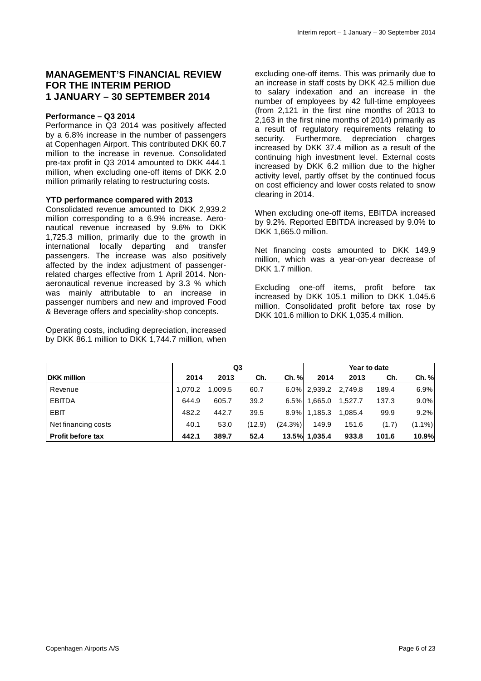### **MANAGEMENT'S FINANCIAL REVIEW FOR THE INTERIM PERIOD 1 JANUARY – 30 SEPTEMBER 2014**

#### **Performance – Q3 2014**

Performance in Q3 2014 was positively affected by a 6.8% increase in the number of passengers at Copenhagen Airport. This contributed DKK 60.7 million to the increase in revenue. Consolidated pre-tax profit in Q3 2014 amounted to DKK 444.1 million, when excluding one-off items of DKK 2.0 million primarily relating to restructuring costs.

#### **YTD performance compared with 2013**

Consolidated revenue amounted to DKK 2,939.2 million corresponding to a 6.9% increase. Aeronautical revenue increased by 9.6% to DKK 1,725.3 million, primarily due to the growth in international locally departing and transfer passengers. The increase was also positively affected by the index adjustment of passengerrelated charges effective from 1 April 2014. Nonaeronautical revenue increased by 3.3 % which was mainly attributable to an increase in passenger numbers and new and improved Food & Beverage offers and speciality-shop concepts.

Operating costs, including depreciation, increased by DKK 86.1 million to DKK 1,744.7 million, when

excluding one-off items. This was primarily due to an increase in staff costs by DKK 42.5 million due to salary indexation and an increase in the number of employees by 42 full-time employees (from 2,121 in the first nine months of 2013 to 2,163 in the first nine months of 2014) primarily as a result of regulatory requirements relating to security. Furthermore, depreciation charges increased by DKK 37.4 million as a result of the continuing high investment level. External costs increased by DKK 6.2 million due to the higher activity level, partly offset by the continued focus on cost efficiency and lower costs related to snow clearing in 2014.

When excluding one-off items, EBITDA increased by 9.2%. Reported EBITDA increased by 9.0% to DKK 1,665.0 million.

Net financing costs amounted to DKK 149.9 million, which was a year-on-year decrease of DKK 1.7 million.

Excluding one-off items, profit before tax increased by DKK 105.1 million to DKK 1,045.6 million. Consolidated profit before tax rose by DKK 101.6 million to DKK 1,035.4 million.

|                          | Q3      |         |        |            | Year to date  |         |       |           |
|--------------------------|---------|---------|--------|------------|---------------|---------|-------|-----------|
| <b>DKK</b> million       | 2014    | 2013    | Ch.    | $Ch. \%$   | 2014          | 2013    | Ch.   | Ch. %     |
| Revenue                  | 1.070.2 | 1.009.5 | 60.7   |            | 6.0% 2,939.2  | 2.749.8 | 189.4 | 6.9%      |
| <b>EBITDA</b>            | 644.9   | 605.7   | 39.2   | 6.5%       | 1,665.0       | 1.527.7 | 137.3 | 9.0%      |
| <b>EBIT</b>              | 482.2   | 442.7   | 39.5   |            | 8.9% 1.185.3  | 1,085.4 | 99.9  | 9.2%      |
| Net financing costs      | 40.1    | 53.0    | (12.9) | $(24.3\%)$ | 149.9         | 151.6   | (1.7) | $(1.1\%)$ |
| <b>Profit before tax</b> | 442.1   | 389.7   | 52.4   |            | 13.5% 1.035.4 | 933.8   | 101.6 | 10.9%     |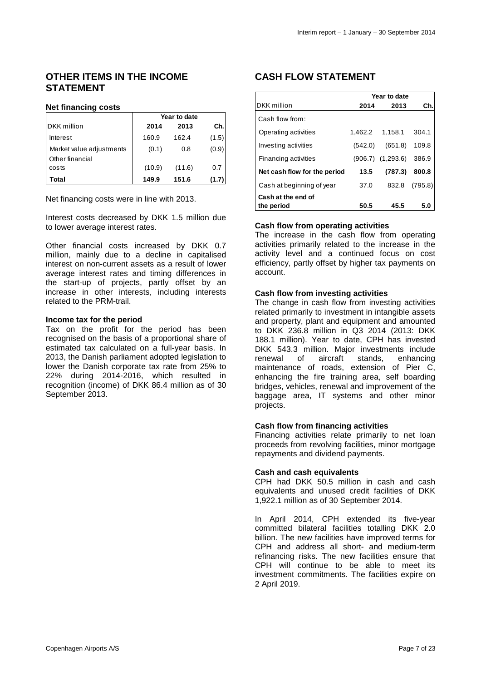### **OTHER ITEMS IN THE INCOME STATEMENT**

#### **Net financing costs**

|                                             | Year to date |        |       |  |  |  |
|---------------------------------------------|--------------|--------|-------|--|--|--|
| DKK million                                 | 2014         | 2013   | Ch.   |  |  |  |
| Interest                                    | 160.9        | 162.4  | (1.5) |  |  |  |
| Market value adjustments<br>Other financial | (0.1)        | 0.8    | (0.9) |  |  |  |
| costs                                       | (10.9)       | (11.6) | 0.7   |  |  |  |
| Total                                       | 149.9        | 151.6  | (1.7) |  |  |  |

Net financing costs were in line with 2013.

Interest costs decreased by DKK 1.5 million due to lower average interest rates.

Other financial costs increased by DKK 0.7 million, mainly due to a decline in capitalised interest on non-current assets as a result of lower average interest rates and timing differences in the start-up of projects, partly offset by an increase in other interests, including interests related to the PRM-trail.

#### **Income tax for the period**

Tax on the profit for the period has been recognised on the basis of a proportional share of estimated tax calculated on a full-year basis. In 2013, the Danish parliament adopted legislation to lower the Danish corporate tax rate from 25% to 22% during 2014-2016, which resulted in recognition (income) of DKK 86.4 million as of 30 September 2013.

## **CASH FLOW STATEMENT**

|                              | Year to date |                       |         |  |  |  |
|------------------------------|--------------|-----------------------|---------|--|--|--|
| DKK million                  | 2014         | 2013                  | Ch.     |  |  |  |
| Cash flow from:              |              |                       |         |  |  |  |
| Operating activities         |              | 1,462.2 1,158.1       | 304.1   |  |  |  |
| Investing activities         | (542.0)      | (651.8)               | 109.8   |  |  |  |
| <b>Financing activities</b>  |              | $(906.7)$ $(1,293.6)$ | 386.9   |  |  |  |
| Net cash flow for the period | 13.5         | (787.3)               | 800.8   |  |  |  |
| Cash at beginning of year    | 37.0         | 832.8                 | (795.8) |  |  |  |
| Cash at the end of           |              |                       |         |  |  |  |
| the period                   | 50.5         | 45.5                  | 5.0     |  |  |  |

#### **Cash flow from operating activities**

The increase in the cash flow from operating activities primarily related to the increase in the activity level and a continued focus on cost efficiency, partly offset by higher tax payments on account.

#### **Cash flow from investing activities**

The change in cash flow from investing activities related primarily to investment in intangible assets and property, plant and equipment and amounted to DKK 236.8 million in Q3 2014 (2013: DKK 188.1 million). Year to date, CPH has invested DKK 543.3 million. Major investments include renewal of aircraft stands, enhancing maintenance of roads, extension of Pier C, enhancing the fire training area, self boarding bridges, vehicles, renewal and improvement of the baggage area, IT systems and other minor projects.

#### **Cash flow from financing activities**

Financing activities relate primarily to net loan proceeds from revolving facilities, minor mortgage repayments and dividend payments.

#### **Cash and cash equivalents**

CPH had DKK 50.5 million in cash and cash equivalents and unused credit facilities of DKK 1,922.1 million as of 30 September 2014.

In April 2014, CPH extended its five-year committed bilateral facilities totalling DKK 2.0 billion. The new facilities have improved terms for CPH and address all short- and medium-term refinancing risks. The new facilities ensure that CPH will continue to be able to meet its investment commitments. The facilities expire on 2 April 2019.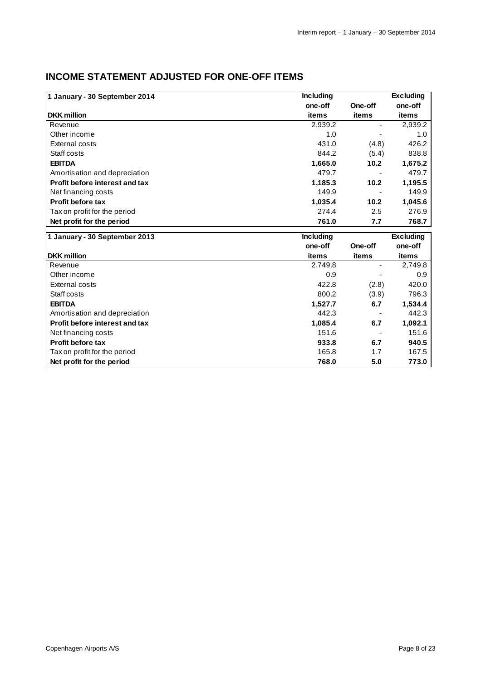## **INCOME STATEMENT ADJUSTED FOR ONE-OFF ITEMS**

| 1 January - 30 September 2014  | <b>Including</b> |         | <b>Excluding</b> |
|--------------------------------|------------------|---------|------------------|
|                                | one-off          | One-off | one-off          |
| <b>DKK</b> million             | items            | items   | items            |
| Revenue                        | 2,939.2          |         | 2,939.2          |
| Other income                   | 1.0              |         | 1.0              |
| External costs                 | 431.0            | (4.8)   | 426.2            |
| Staff costs                    | 844.2            | (5.4)   | 838.8            |
| <b>EBITDA</b>                  | 1,665.0          | 10.2    | 1,675.2          |
| Amortisation and depreciation  | 479.7            |         | 479.7            |
| Profit before interest and tax | 1,185.3          | 10.2    | 1,195.5          |
| Net financing costs            | 149.9            |         | 149.9            |
| <b>Profit before tax</b>       | 1,035.4          | 10.2    | 1,045.6          |
| Tax on profit for the period   | 274.4            | 2.5     | 276.9            |
| Net profit for the period      | 761.0            | 7.7     | 768.7            |
| 1 January - 30 September 2013  | <b>Including</b> |         | <b>Excluding</b> |
|                                | one-off          | One-off | one-off          |

|                                       | one-off | One-off | one-off |
|---------------------------------------|---------|---------|---------|
| <b>DKK</b> million                    | items   | items   | items   |
| Revenue                               | 2,749.8 | ٠       | 2,749.8 |
| Other income                          | 0.9     |         | 0.9     |
| External costs                        | 422.8   | (2.8)   | 420.0   |
| Staff costs                           | 800.2   | (3.9)   | 796.3   |
| <b>EBITDA</b>                         | 1,527.7 | 6.7     | 1,534.4 |
| Amortisation and depreciation         | 442.3   |         | 442.3   |
| <b>Profit before interest and tax</b> | 1,085.4 | 6.7     | 1,092.1 |
| Net financing costs                   | 151.6   |         | 151.6   |
| <b>Profit before tax</b>              | 933.8   | 6.7     | 940.5   |
| Tax on profit for the period          | 165.8   | 1.7     | 167.5   |
| Net profit for the period             | 768.0   | 5.0     | 773.0   |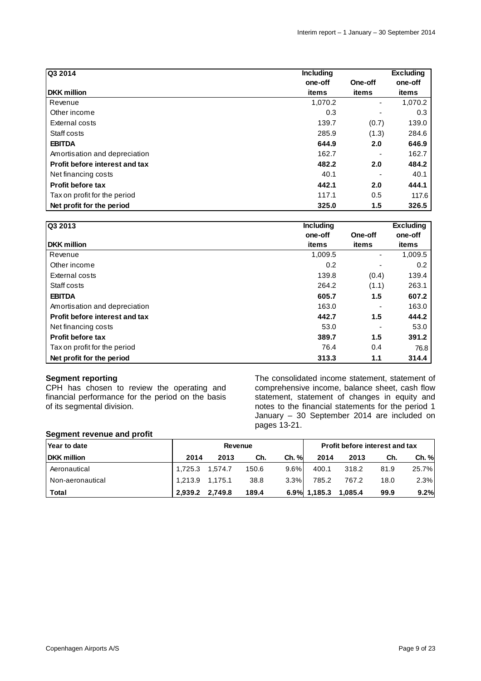| Q3 2014                               | <b>Including</b> |         | <b>Excluding</b> |
|---------------------------------------|------------------|---------|------------------|
|                                       | one-off          | One-off | one-off          |
| <b>DKK</b> million                    | items            | items   | items            |
| Revenue                               | 1,070.2          | Ξ.      | 1,070.2          |
| Other income                          | 0.3              |         | 0.3              |
| External costs                        | 139.7            | (0.7)   | 139.0            |
| Staff costs                           | 285.9            | (1.3)   | 284.6            |
| <b>EBITDA</b>                         | 644.9            | 2.0     | 646.9            |
| Amortisation and depreciation         | 162.7            |         | 162.7            |
| <b>Profit before interest and tax</b> | 482.2            | 2.0     | 484.2            |
| Net financing costs                   | 40.1             |         | 40.1             |
| <b>Profit before tax</b>              | 442.1            | 2.0     | 444.1            |
| Tax on profit for the period          | 117.1            | 0.5     | 117.6            |
| Net profit for the period             | 325.0            | 1.5     | 326.5            |

| Q3 2013                        | <b>Including</b> |         | <b>Excluding</b> |
|--------------------------------|------------------|---------|------------------|
|                                | one-off          | One-off | one-off          |
| <b>DKK</b> million             | items            | items   | items            |
| Revenue                        | 1,009.5          | ٠       | 1,009.5          |
| Other income                   | 0.2              |         | 0.2              |
| External costs                 | 139.8            | (0.4)   | 139.4            |
| Staff costs                    | 264.2            | (1.1)   | 263.1            |
| <b>EBITDA</b>                  | 605.7            | 1.5     | 607.2            |
| Amortisation and depreciation  | 163.0            |         | 163.0            |
| Profit before interest and tax | 442.7            | 1.5     | 444.2            |
| Net financing costs            | 53.0             |         | 53.0             |
| <b>Profit before tax</b>       | 389.7            | 1.5     | 391.2            |
| Tax on profit for the period   | 76.4             | 0.4     | 76.8             |
| Net profit for the period      | 313.3            | 1.1     | 314.4            |

#### **Segment reporting**

CPH has chosen to review the operating and financial performance for the period on the basis of its segmental division.

The consolidated income statement, statement of comprehensive income, balance sheet, cash flow statement, statement of changes in equity and notes to the financial statements for the period 1 January – 30 September 2014 are included on pages 13-21.

#### **Segment revenue and profit**

| Year to date       |                   | <b>Revenue</b> |       |         |              |         | <b>Profit before interest and tax</b> |       |
|--------------------|-------------------|----------------|-------|---------|--------------|---------|---------------------------------------|-------|
| <b>DKK</b> million | 2014              | 2013           | Ch.   | Ch. %   | 2014         | 2013    | Ch.                                   | Ch. % |
| Aeronautical       | 1.725.3           | 1.574.7        | 150.6 | $9.6\%$ | 400.1        | 318.2   | 81.9                                  | 25.7% |
| Non-aeronautical   | $1,213.9$ 1,175.1 |                | 38.8  | $3.3\%$ | 785.2        | 767.2   | 18.0                                  | 2.3%  |
| <b>Total</b>       | 2,939.2           | 2,749.8        | 189.4 |         | 6.9% 1,185.3 | 1,085.4 | 99.9                                  | 9.2%  |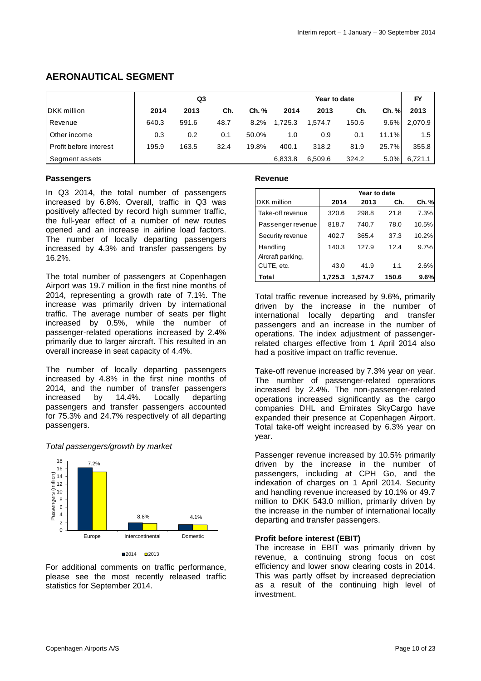## **AERONAUTICAL SEGMENT**

|                        | Q3    |       |      |       | Year to date |         |       | FY    |               |
|------------------------|-------|-------|------|-------|--------------|---------|-------|-------|---------------|
| <b>DKK</b> million     | 2014  | 2013  | Ch.  | Ch. % | 2014         | 2013    | Ch.   | Ch. % | 2013          |
| Revenue                | 640.3 | 591.6 | 48.7 | 8.2%  | 1.725.3      | 1,574.7 | 150.6 | 9.6%  | 2.070.9       |
| Other income           | 0.3   | 0.2   | 0.1  | 50.0% | 1.0          | 0.9     | 0.1   | 11.1% | $1.5^{\circ}$ |
| Profit before interest | 195.9 | 163.5 | 32.4 | 19.8% | 400.1        | 318.2   | 81.9  | 25.7% | 355.8         |
| Segment assets         |       |       |      |       | 6.833.8      | 6,509.6 | 324.2 | 5.0%  | 6,721.1       |

#### **Passengers**

In Q3 2014, the total number of passengers increased by 6.8%. Overall, traffic in Q3 was positively affected by record high summer traffic, the full-year effect of a number of new routes opened and an increase in airline load factors. The number of locally departing passengers increased by 4.3% and transfer passengers by 16.2%.

The total number of passengers at Copenhagen Airport was 19.7 million in the first nine months of 2014, representing a growth rate of 7.1%. The increase was primarily driven by international traffic. The average number of seats per flight increased by 0.5%, while the number of passenger-related operations increased by 2.4% primarily due to larger aircraft. This resulted in an overall increase in seat capacity of 4.4%.

The number of locally departing passengers increased by 4.8% in the first nine months of 2014, and the number of transfer passengers increased by 14.4%. Locally departing passengers and transfer passengers accounted for 75.3% and 24.7% respectively of all departing passengers.

#### Total passengers/growth by market



For additional comments on traffic performance, please see the most recently released traffic statistics for September 2014.

#### **Revenue**

|                                 | Year to date |         |       |       |  |  |  |
|---------------------------------|--------------|---------|-------|-------|--|--|--|
| DKK million                     | 2014         | 2013    | Ch.   | Ch. % |  |  |  |
| Take-off revenue                | 320.6        | 298.8   | 21.8  | 7.3%  |  |  |  |
| Passenger revenue               | 818.7        | 740.7   | 78.0  | 10.5% |  |  |  |
| Security revenue                | 402.7        | 365.4   | 37.3  | 10.2% |  |  |  |
| Handling                        | 140.3        | 127.9   | 12.4  | 9.7%  |  |  |  |
| Aircraft parking,<br>CUTE, etc. | 43.0         | 41.9    | 1.1   | 2.6%  |  |  |  |
| Total                           | 1,725.3      | 1.574.7 | 150.6 | 9.6%  |  |  |  |

Total traffic revenue increased by 9.6%, primarily driven by the increase in the number of international locally departing and transfer passengers and an increase in the number of operations. The index adjustment of passengerrelated charges effective from 1 April 2014 also had a positive impact on traffic revenue.

Take-off revenue increased by 7.3% year on year. The number of passenger-related operations increased by 2.4%. The non-passenger-related operations increased significantly as the cargo companies DHL and Emirates SkyCargo have expanded their presence at Copenhagen Airport. Total take-off weight increased by 6.3% year on year.

Passenger revenue increased by 10.5% primarily driven by the increase in the number of passengers, including at CPH Go, and the indexation of charges on 1 April 2014. Security and handling revenue increased by 10.1% or 49.7 million to DKK 543.0 million, primarily driven by the increase in the number of international locally departing and transfer passengers.

#### **Profit before interest (EBIT)**

The increase in EBIT was primarily driven by revenue, a continuing strong focus on cost efficiency and lower snow clearing costs in 2014. This was partly offset by increased depreciation as a result of the continuing high level of investment.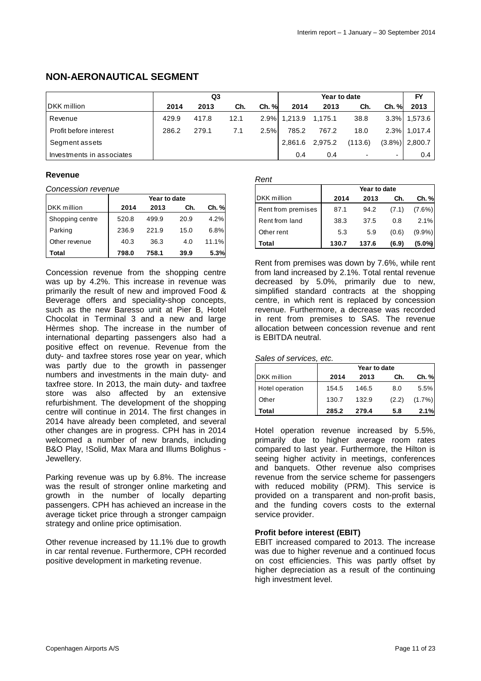## **NON-AERONAUTICAL SEGMENT**

|                           | Q <sub>3</sub> |       |      |       | Year to date |         |         | FY                       |                   |
|---------------------------|----------------|-------|------|-------|--------------|---------|---------|--------------------------|-------------------|
| DKK million               | 2014           | 2013  | Ch.  | Ch. % | 2014         | 2013    | Ch.     | <b>Ch.</b> %             | 2013              |
| Revenue                   | 429.9          | 417.8 | 12.1 |       | 2.9% 1.213.9 | 1,175.1 | 38.8    |                          | 3.3% 1,573.6      |
| Profit before interest    | 286.2          | 279.1 | 7.1  | 2.5%  | 785.2        | 767.2   | 18.0    |                          | 2.3% 1.017.4      |
| Segment assets            |                |       |      |       | 2,861.6      | 2,975.2 | (113.6) |                          | $(3.8\%)$ 2,800.7 |
| Investments in associates |                |       |      |       | 0.4          | 0.4     |         | $\overline{\phantom{a}}$ | 0.4               |

#### **Revenue**

Concession revenue

|                    | Year to date |       |      |       |  |  |  |
|--------------------|--------------|-------|------|-------|--|--|--|
| <b>DKK</b> million | 2014         | 2013  | Ch.  | Ch. % |  |  |  |
| Shopping centre    | 520.8        | 499.9 | 20.9 | 4.2%  |  |  |  |
| Parking            | 236.9        | 221.9 | 15.0 | 6.8%  |  |  |  |
| Other revenue      | 40.3         | 36.3  | 4.0  | 11.1% |  |  |  |
| Total              | 798.0        | 758.1 | 39.9 | 5.3%  |  |  |  |

Concession revenue from the shopping centre was up by 4.2%. This increase in revenue was primarily the result of new and improved Food & Beverage offers and speciality-shop concepts, such as the new Baresso unit at Pier B, Hotel Chocolat in Terminal 3 and a new and large Hèrmes shop. The increase in the number of international departing passengers also had a positive effect on revenue. Revenue from the duty- and taxfree stores rose year on year, which was partly due to the growth in passenger numbers and investments in the main duty- and taxfree store. In 2013, the main duty- and taxfree store was also affected by an extensive refurbishment. The development of the shopping centre will continue in 2014. The first changes in 2014 have already been completed, and several other changes are in progress. CPH has in 2014 welcomed a number of new brands, including B&O Play, !Solid, Max Mara and Illums Bolighus - Jewellery.

Parking revenue was up by 6.8%. The increase was the result of stronger online marketing and growth in the number of locally departing passengers. CPH has achieved an increase in the average ticket price through a stronger campaign strategy and online price optimisation.

Other revenue increased by 11.1% due to growth in car rental revenue. Furthermore, CPH recorded positive development in marketing revenue.

#### Rent

|              |      |       | , , vi             |              |       |       |           |  |
|--------------|------|-------|--------------------|--------------|-------|-------|-----------|--|
|              |      |       |                    | Year to date |       |       |           |  |
| Year to date |      |       | DKK million        | 2014         | 2013  | Ch.   | Ch. %     |  |
| 2013         | Ch.  | Ch. % | Rent from premises | 87.1         | 94.2  | (7.1) | $(7.6\%)$ |  |
| 199.9        | 20.9 | 4.2%  | Rent from land     | 38.3         | 37.5  | 0.8   | 2.1%      |  |
| 21.9         | 15.0 | 6.8%  | Other rent         | 5.3          | 5.9   | (0.6) | $(9.9\%)$ |  |
| 36.3         | 4.0  | 11.1% | Total              | 130.7        | 137.6 | (6.9) | (5.0%)    |  |

Rent from premises was down by 7.6%, while rent from land increased by 2.1%. Total rental revenue decreased by 5.0%, primarily due to new, simplified standard contracts at the shopping centre, in which rent is replaced by concession revenue. Furthermore, a decrease was recorded in rent from premises to SAS. The revenue allocation between concession revenue and rent is EBITDA neutral.

#### Sales of services, etc.

|                    | Year to date |       |       |           |  |  |  |
|--------------------|--------------|-------|-------|-----------|--|--|--|
| <b>DKK</b> million | 2014         | 2013  | Ch.   | Ch. %     |  |  |  |
| Hotel operation    | 154.5        | 146.5 | 8.0   | 5.5%      |  |  |  |
| Other              | 130.7        | 132.9 | (2.2) | $(1.7\%)$ |  |  |  |
| Total              | 285.2        | 279.4 | 5.8   | 2.1%      |  |  |  |

Hotel operation revenue increased by 5.5%, primarily due to higher average room rates compared to last year. Furthermore, the Hilton is seeing higher activity in meetings, conferences and banquets. Other revenue also comprises revenue from the service scheme for passengers with reduced mobility (PRM). This service is provided on a transparent and non-profit basis, and the funding covers costs to the external service provider.

#### **Profit before interest (EBIT)**

EBIT increased compared to 2013. The increase was due to higher revenue and a continued focus on cost efficiencies. This was partly offset by higher depreciation as a result of the continuing high investment level.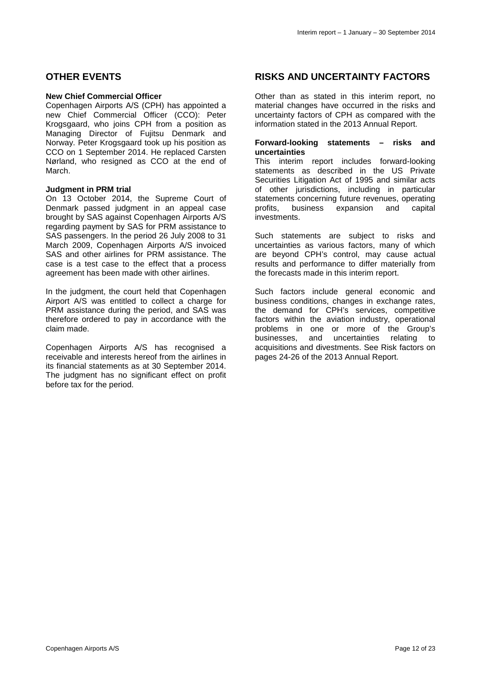## **OTHER EVENTS**

#### **New Chief Commercial Officer**

Copenhagen Airports A/S (CPH) has appointed a new Chief Commercial Officer (CCO): Peter Krogsgaard, who joins CPH from a position as Managing Director of Fujitsu Denmark and Norway. Peter Krogsgaard took up his position as CCO on 1 September 2014. He replaced Carsten Nørland, who resigned as CCO at the end of March.

#### **Judgment in PRM trial**

On 13 October 2014, the Supreme Court of Denmark passed judgment in an appeal case brought by SAS against Copenhagen Airports A/S regarding payment by SAS for PRM assistance to SAS passengers. In the period 26 July 2008 to 31 March 2009, Copenhagen Airports A/S invoiced SAS and other airlines for PRM assistance. The case is a test case to the effect that a process agreement has been made with other airlines.

In the judgment, the court held that Copenhagen Airport A/S was entitled to collect a charge for PRM assistance during the period, and SAS was therefore ordered to pay in accordance with the claim made.

Copenhagen Airports A/S has recognised a receivable and interests hereof from the airlines in its financial statements as at 30 September 2014. The judgment has no significant effect on profit before tax for the period.

## **RISKS AND UNCERTAINTY FACTORS**

Other than as stated in this interim report, no material changes have occurred in the risks and uncertainty factors of CPH as compared with the information stated in the 2013 Annual Report.

#### **Forward-looking statements – risks and uncertainties**

This interim report includes forward-looking statements as described in the US Private Securities Litigation Act of 1995 and similar acts of other jurisdictions, including in particular statements concerning future revenues, operating profits, business expansion and capital investments.

Such statements are subject to risks and uncertainties as various factors, many of which are beyond CPH's control, may cause actual results and performance to differ materially from the forecasts made in this interim report.

Such factors include general economic and business conditions, changes in exchange rates, the demand for CPH's services, competitive factors within the aviation industry, operational problems in one or more of the Group's businesses, and uncertainties relating to acquisitions and divestments. See Risk factors on pages 24-26 of the 2013 Annual Report.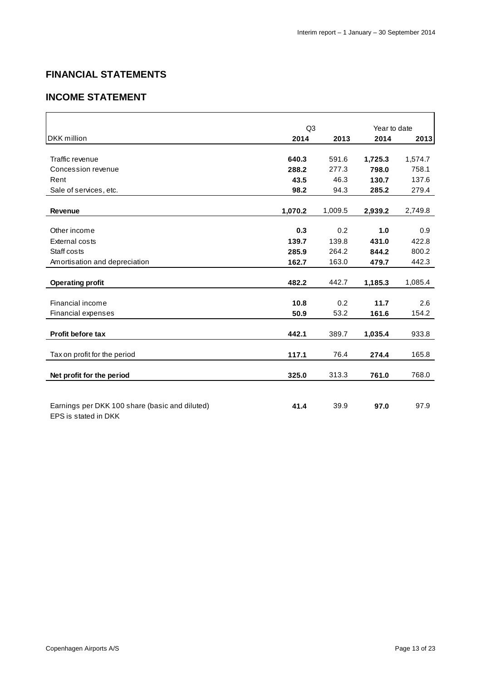## **FINANCIAL STATEMENTS**

## **INCOME STATEMENT**

|                                                                        | Q <sub>3</sub> |         | Year to date |         |
|------------------------------------------------------------------------|----------------|---------|--------------|---------|
| <b>DKK</b> million                                                     | 2014           | 2013    | 2014         | 2013    |
|                                                                        |                |         |              |         |
| Traffic revenue                                                        | 640.3          | 591.6   | 1,725.3      | 1,574.7 |
| Concession revenue                                                     | 288.2          | 277.3   | 798.0        | 758.1   |
| Rent                                                                   | 43.5           | 46.3    | 130.7        | 137.6   |
| Sale of services, etc.                                                 | 98.2           | 94.3    | 285.2        | 279.4   |
| <b>Revenue</b>                                                         | 1,070.2        | 1,009.5 | 2,939.2      | 2,749.8 |
|                                                                        |                |         |              |         |
| Other income                                                           | 0.3            | 0.2     | 1.0          | 0.9     |
| <b>External costs</b>                                                  | 139.7          | 139.8   | 431.0        | 422.8   |
| Staff costs                                                            | 285.9          | 264.2   | 844.2        | 800.2   |
| Amortisation and depreciation                                          | 162.7          | 163.0   | 479.7        | 442.3   |
|                                                                        |                |         |              |         |
| <b>Operating profit</b>                                                | 482.2          | 442.7   | 1,185.3      | 1,085.4 |
| Financial income                                                       | 10.8           | 0.2     | 11.7         | 2.6     |
| <b>Financial expenses</b>                                              | 50.9           | 53.2    | 161.6        | 154.2   |
|                                                                        |                |         |              |         |
| <b>Profit before tax</b>                                               | 442.1          | 389.7   | 1,035.4      | 933.8   |
| Tax on profit for the period                                           | 117.1          | 76.4    | 274.4        | 165.8   |
| Net profit for the period                                              | 325.0          | 313.3   | 761.0        | 768.0   |
|                                                                        |                |         |              |         |
|                                                                        |                |         |              |         |
| Earnings per DKK 100 share (basic and diluted)<br>EPS is stated in DKK | 41.4           | 39.9    | 97.0         | 97.9    |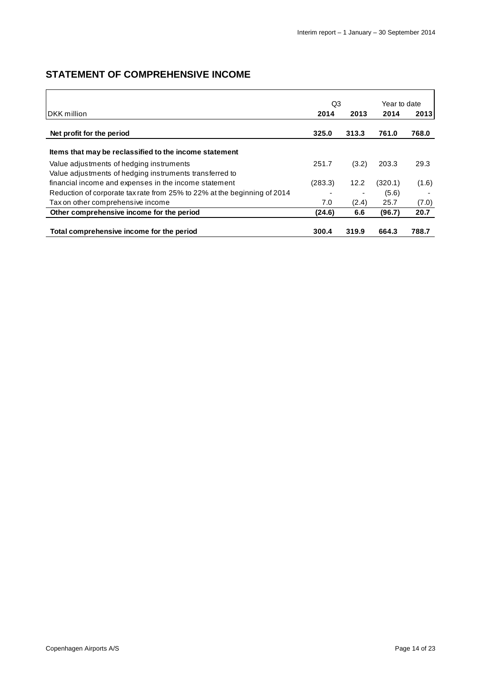## **STATEMENT OF COMPREHENSIVE INCOME**

|                                                                          | Q3      |       | Year to date |       |
|--------------------------------------------------------------------------|---------|-------|--------------|-------|
| <b>IDKK</b> million                                                      | 2014    | 2013  | 2014         | 2013  |
| Net profit for the period                                                | 325.0   | 313.3 | 761.0        | 768.0 |
| Items that may be reclassified to the income statement                   |         |       |              |       |
| Value adjustments of hedging instruments                                 | 251.7   | (3.2) | 203.3        | 29.3  |
| Value adjustments of hedging instruments transferred to                  |         |       |              |       |
| financial income and expenses in the income statement                    | (283.3) | 12.2  | (320.1)      | (1.6) |
| Reduction of corporate tax rate from 25% to 22% at the beginning of 2014 |         |       | (5.6)        |       |
| Tax on other comprehensive income                                        | 7.0     | (2.4) | 25.7         | (7.0) |
| Other comprehensive income for the period                                | (24.6)  | 6.6   | (96.7)       | 20.7  |
| Total comprehensive income for the period                                | 300.4   | 319.9 | 664.3        | 788.7 |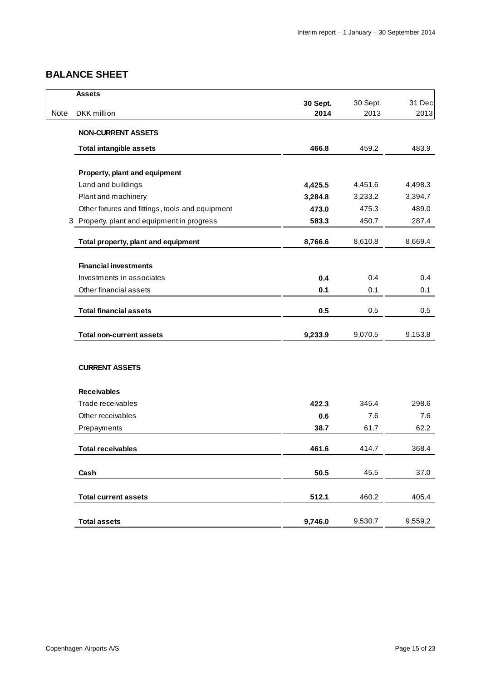## **BALANCE SHEET**

|      | <b>Assets</b>                                    |          |          |         |
|------|--------------------------------------------------|----------|----------|---------|
|      |                                                  | 30 Sept. | 30 Sept. | 31 Dec  |
| Note | DKK million                                      | 2014     | 2013     | 2013    |
|      | <b>NON-CURRENT ASSETS</b>                        |          |          |         |
|      | <b>Total intangible assets</b>                   | 466.8    | 459.2    | 483.9   |
|      | Property, plant and equipment                    |          |          |         |
|      | Land and buildings                               | 4,425.5  | 4,451.6  | 4,498.3 |
|      | Plant and machinery                              | 3,284.8  | 3,233.2  | 3,394.7 |
|      | Other fixtures and fittings, tools and equipment | 473.0    | 475.3    | 489.0   |
|      | 3 Property, plant and equipment in progress      | 583.3    | 450.7    | 287.4   |
|      | Total property, plant and equipment              | 8,766.6  | 8,610.8  | 8,669.4 |
|      | <b>Financial investments</b>                     |          |          |         |
|      | Investments in associates                        | 0.4      | 0.4      | 0.4     |
|      | Other financial assets                           | 0.1      | 0.1      | 0.1     |
|      | <b>Total financial assets</b>                    | 0.5      | 0.5      | 0.5     |
|      | <b>Total non-current assets</b>                  | 9,233.9  | 9,070.5  | 9,153.8 |
|      |                                                  |          |          |         |
|      | <b>CURRENT ASSETS</b>                            |          |          |         |
|      | <b>Receivables</b>                               |          |          |         |
|      | Trade receivables                                | 422.3    | 345.4    | 298.6   |
|      | Other receivables                                | 0.6      | 7.6      | 7.6     |
|      | Prepayments                                      | 38.7     | 61.7     | 62.2    |
|      | <b>Total receivables</b>                         | 461.6    | 414.7    | 368.4   |
|      | Cash                                             | 50.5     | 45.5     | 37.0    |
|      | <b>Total current assets</b>                      | 512.1    | 460.2    | 405.4   |
|      | <b>Total assets</b>                              | 9,746.0  | 9,530.7  | 9,559.2 |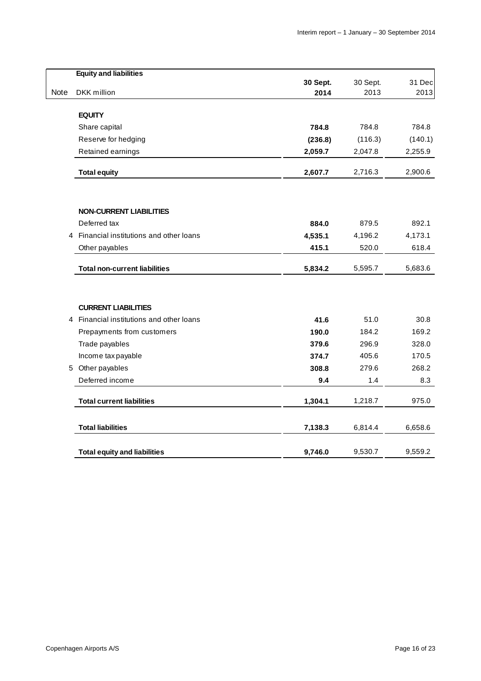|      | <b>Equity and liabilities</b>          |                  |                  |         |
|------|----------------------------------------|------------------|------------------|---------|
| Note | DKK million                            | 30 Sept.<br>2014 | 30 Sept.<br>2013 | 31 Dec  |
|      |                                        |                  |                  | 2013    |
|      | <b>EQUITY</b>                          |                  |                  |         |
|      | Share capital                          | 784.8            | 784.8            | 784.8   |
|      | Reserve for hedging                    | (236.8)          | (116.3)          | (140.1) |
|      | Retained earnings                      | 2,059.7          | 2,047.8          | 2,255.9 |
|      | <b>Total equity</b>                    | 2,607.7          | 2,716.3          | 2,900.6 |
|      |                                        |                  |                  |         |
|      | <b>NON-CURRENT LIABILITIES</b>         |                  |                  |         |
|      | Deferred tax                           | 884.0            | 879.5            | 892.1   |
| 4    | Financial institutions and other loans | 4,535.1          | 4,196.2          | 4,173.1 |
|      | Other payables                         | 415.1            | 520.0            | 618.4   |
|      | <b>Total non-current liabilities</b>   | 5,834.2          | 5,595.7          | 5,683.6 |
|      | <b>CURRENT LIABILITIES</b>             |                  |                  |         |
| 4    | Financial institutions and other loans | 41.6             | 51.0             | 30.8    |
|      | Prepayments from customers             | 190.0            | 184.2            | 169.2   |
|      | Trade payables                         | 379.6            | 296.9            | 328.0   |
|      | Income tax payable                     | 374.7            | 405.6            | 170.5   |
| 5    | Other payables                         | 308.8            | 279.6            | 268.2   |
|      | Deferred income                        | 9.4              | 1.4              | 8.3     |
|      | <b>Total current liabilities</b>       | 1,304.1          | 1,218.7          | 975.0   |
|      | <b>Total liabilities</b>               | 7,138.3          | 6,814.4          | 6,658.6 |
|      | <b>Total equity and liabilities</b>    | 9,746.0          | 9,530.7          | 9,559.2 |
|      |                                        |                  |                  |         |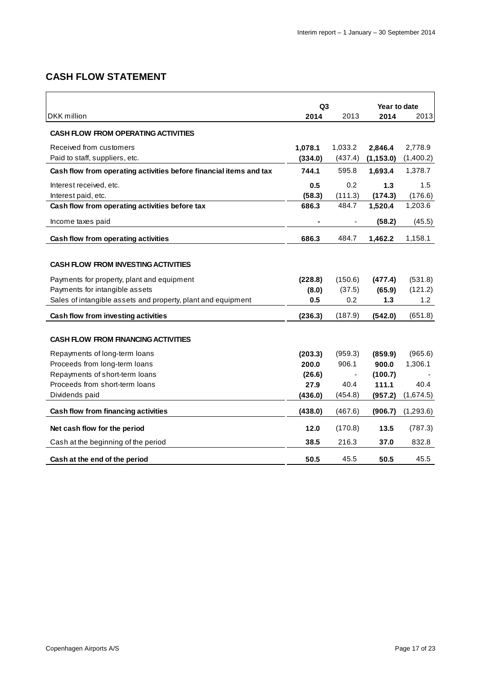## **CASH FLOW STATEMENT**

|                                                                    | Q <sub>3</sub> |         | Year to date |           |  |
|--------------------------------------------------------------------|----------------|---------|--------------|-----------|--|
| DKK million                                                        | 2014           | 2013    | 2014         | 2013      |  |
| <b>CASH FLOW FROM OPERATING ACTIVITIES</b>                         |                |         |              |           |  |
| Received from customers                                            | 1,078.1        | 1,033.2 | 2,846.4      | 2,778.9   |  |
| Paid to staff, suppliers, etc.                                     | (334.0)        | (437.4) | (1, 153.0)   | (1,400.2) |  |
| Cash flow from operating activities before financial items and tax | 744.1          | 595.8   | 1,693.4      | 1,378.7   |  |
| Interest received, etc.                                            | 0.5            | 0.2     | 1.3          | 1.5       |  |
| Interest paid, etc.                                                | (58.3)         | (111.3) | (174.3)      | (176.6)   |  |
| Cash flow from operating activities before tax                     | 686.3          | 484.7   | 1,520.4      | 1,203.6   |  |
| Income taxes paid                                                  |                |         | (58.2)       | (45.5)    |  |
| Cash flow from operating activities                                | 686.3          | 484.7   | 1,462.2      | 1,158.1   |  |
|                                                                    |                |         |              |           |  |
| <b>CASH FLOW FROM INVESTING ACTIVITIES</b>                         |                |         |              |           |  |
| Payments for property, plant and equipment                         | (228.8)        | (150.6) | (477.4)      | (531.8)   |  |
| Payments for intangible assets                                     | (8.0)          | (37.5)  | (65.9)       | (121.2)   |  |
| Sales of intangible assets and property, plant and equipment       | 0.5            | 0.2     | 1.3          | 1.2       |  |
| Cash flow from investing activities                                | (236.3)        | (187.9) | (542.0)      | (651.8)   |  |
| <b>CASH FLOW FROM FINANCING ACTIVITIES</b>                         |                |         |              |           |  |
|                                                                    |                |         |              |           |  |
| Repayments of long-term loans                                      | (203.3)        | (959.3) | (859.9)      | (965.6)   |  |
| Proceeds from long-term loans                                      | 200.0          | 906.1   | 900.0        | 1,306.1   |  |
| Repayments of short-term loans                                     | (26.6)         |         | (100.7)      |           |  |
| Proceeds from short-term loans                                     | 27.9           | 40.4    | 111.1        | 40.4      |  |
| Dividends paid                                                     | (436.0)        | (454.8) | (957.2)      | (1,674.5) |  |
| Cash flow from financing activities                                | (438.0)        | (467.6) | (906.7)      | (1,293.6) |  |
| Net cash flow for the period                                       | 12.0           | (170.8) | 13.5         | (787.3)   |  |
| Cash at the beginning of the period                                | 38.5           | 216.3   | 37.0         | 832.8     |  |
| Cash at the end of the period                                      | 50.5           | 45.5    | 50.5         | 45.5      |  |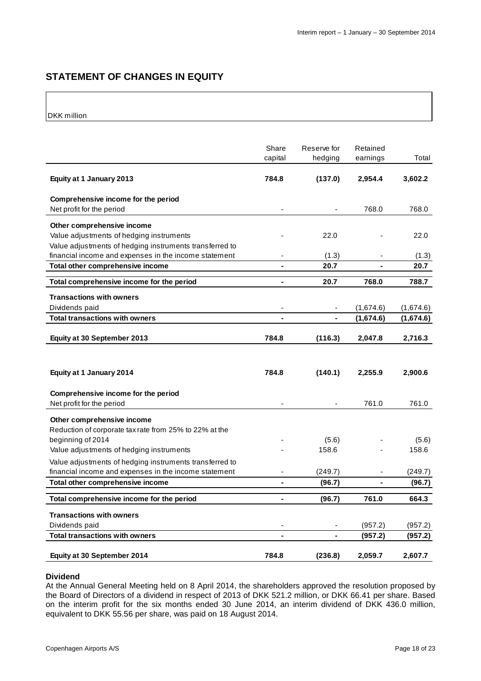## **STATEMENT OF CHANGES IN EQUITY**

DKK million

|                                                                                                                  | Share<br>capital             | Reserve for<br>hedging | Retained<br>earnings | Total     |
|------------------------------------------------------------------------------------------------------------------|------------------------------|------------------------|----------------------|-----------|
| Equity at 1 January 2013                                                                                         | 784.8                        | (137.0)                | 2,954.4              | 3,602.2   |
| Comprehensive income for the period<br>Net profit for the period                                                 | $\frac{1}{2}$                |                        | 768.0                | 768.0     |
|                                                                                                                  |                              |                        |                      |           |
| Other comprehensive income<br>Value adjustments of hedging instruments                                           |                              | 22.0                   |                      | 22.0      |
| Value adjustments of hedging instruments transferred to                                                          |                              |                        |                      |           |
| financial income and expenses in the income statement                                                            |                              | (1.3)                  |                      | (1.3)     |
| Total other comprehensive income                                                                                 | $\blacksquare$               | 20.7                   | $\blacksquare$       | 20.7      |
| Total comprehensive income for the period                                                                        | $\blacksquare$               | 20.7                   | 768.0                | 788.7     |
| <b>Transactions with owners</b>                                                                                  |                              |                        |                      |           |
| Dividends paid                                                                                                   | $\overline{a}$               |                        | (1,674.6)            | (1,674.6) |
| <b>Total transactions with owners</b>                                                                            |                              |                        | (1,674.6)            | (1,674.6) |
|                                                                                                                  |                              |                        |                      |           |
| Equity at 30 September 2013                                                                                      | 784.8                        | (116.3)                | 2,047.8              | 2,716.3   |
|                                                                                                                  |                              |                        |                      |           |
|                                                                                                                  |                              |                        |                      |           |
| Equity at 1 January 2014                                                                                         | 784.8                        | (140.1)                | 2,255.9              | 2,900.6   |
| Comprehensive income for the period                                                                              |                              |                        |                      |           |
| Net profit for the period                                                                                        |                              |                        | 761.0                | 761.0     |
|                                                                                                                  |                              |                        |                      |           |
| Other comprehensive income                                                                                       |                              |                        |                      |           |
| Reduction of corporate tax rate from 25% to 22% at the<br>beginning of 2014                                      |                              | (5.6)                  |                      | (5.6)     |
| Value adjustments of hedging instruments                                                                         |                              | 158.6                  |                      | 158.6     |
|                                                                                                                  |                              |                        |                      |           |
| Value adjustments of hedging instruments transferred to<br>financial income and expenses in the income statement |                              |                        |                      | (249.7)   |
| Total other comprehensive income                                                                                 | ÷,                           | (249.7)<br>(96.7)      |                      | (96.7)    |
|                                                                                                                  |                              |                        |                      |           |
| Total comprehensive income for the period                                                                        | ÷,                           | (96.7)                 | 761.0                | 664.3     |
| <b>Transactions with owners</b>                                                                                  |                              |                        |                      |           |
| Dividends paid                                                                                                   | $\qquad \qquad \blacksquare$ |                        | (957.2)              | (957.2)   |
| <b>Total transactions with owners</b>                                                                            | ä,                           |                        | (957.2)              | (957.2)   |
| Equity at 30 September 2014                                                                                      | 784.8                        | (236.8)                | 2,059.7              | 2,607.7   |

#### **Dividend**

At the Annual General Meeting held on 8 April 2014, the shareholders approved the resolution proposed by the Board of Directors of a dividend in respect of 2013 of DKK 521.2 million, or DKK 66.41 per share. Based on the interim profit for the six months ended 30 June 2014, an interim dividend of DKK 436.0 million, equivalent to DKK 55.56 per share, was paid on 18 August 2014.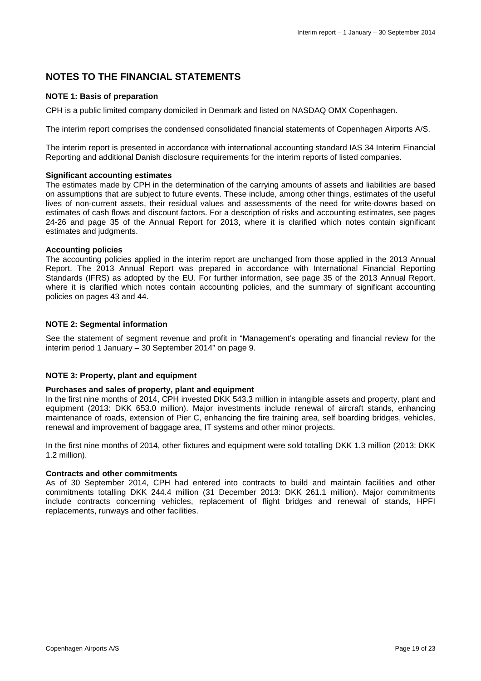## **NOTES TO THE FINANCIAL STATEMENTS**

#### **NOTE 1: Basis of preparation**

CPH is a public limited company domiciled in Denmark and listed on NASDAQ OMX Copenhagen.

The interim report comprises the condensed consolidated financial statements of Copenhagen Airports A/S.

The interim report is presented in accordance with international accounting standard IAS 34 Interim Financial Reporting and additional Danish disclosure requirements for the interim reports of listed companies.

#### **Significant accounting estimates**

The estimates made by CPH in the determination of the carrying amounts of assets and liabilities are based on assumptions that are subject to future events. These include, among other things, estimates of the useful lives of non-current assets, their residual values and assessments of the need for write-downs based on estimates of cash flows and discount factors. For a description of risks and accounting estimates, see pages 24-26 and page 35 of the Annual Report for 2013, where it is clarified which notes contain significant estimates and judgments.

#### **Accounting policies**

The accounting policies applied in the interim report are unchanged from those applied in the 2013 Annual Report. The 2013 Annual Report was prepared in accordance with International Financial Reporting Standards (IFRS) as adopted by the EU. For further information, see page 35 of the 2013 Annual Report, where it is clarified which notes contain accounting policies, and the summary of significant accounting policies on pages 43 and 44.

#### **NOTE 2: Segmental information**

See the statement of segment revenue and profit in "Management's operating and financial review for the interim period 1 January – 30 September 2014" on page 9.

#### **NOTE 3: Property, plant and equipment**

#### **Purchases and sales of property, plant and equipment**

In the first nine months of 2014, CPH invested DKK 543.3 million in intangible assets and property, plant and equipment (2013: DKK 653.0 million). Major investments include renewal of aircraft stands, enhancing maintenance of roads, extension of Pier C, enhancing the fire training area, self boarding bridges, vehicles, renewal and improvement of baggage area, IT systems and other minor projects.

In the first nine months of 2014, other fixtures and equipment were sold totalling DKK 1.3 million (2013: DKK 1.2 million).

#### **Contracts and other commitments**

As of 30 September 2014, CPH had entered into contracts to build and maintain facilities and other commitments totalling DKK 244.4 million (31 December 2013: DKK 261.1 million). Major commitments include contracts concerning vehicles, replacement of flight bridges and renewal of stands, HPFI replacements, runways and other facilities.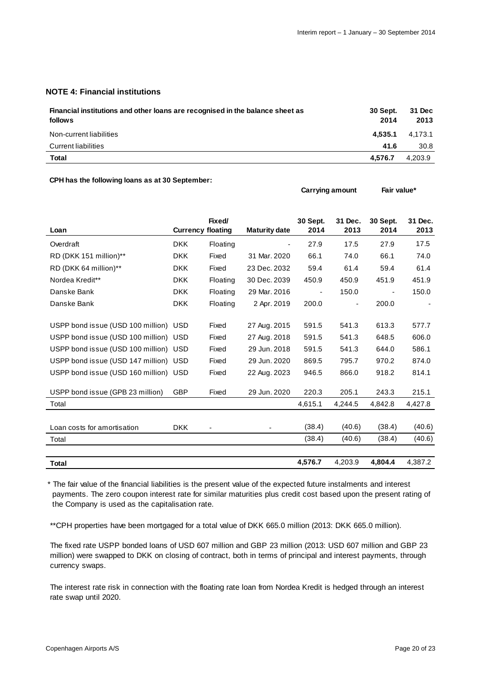**Carrying amount Fair value\*** 

#### **NOTE 4: Financial institutions**

| Financial institutions and other loans are recognised in the balance sheet as<br>follows | <b>30 Sept.</b><br>2014 | 31 Dec<br>2013 |
|------------------------------------------------------------------------------------------|-------------------------|----------------|
| Non-current liabilities                                                                  | 4.535.1                 | 4.173.1        |
| Current liabilities                                                                      | 41.6                    | 30.8           |
| Total                                                                                    | 4.576.7                 | 4,203.9        |

#### **CPH has the following loans as at 30 September:**

| Loan                                  | <b>Currency floating</b> | Fixed/   | <b>Maturity date</b> | 30 Sept.<br>2014 | 31 Dec.<br>2013 | 30 Sept.<br>2014 | 31 Dec.<br>2013 |
|---------------------------------------|--------------------------|----------|----------------------|------------------|-----------------|------------------|-----------------|
|                                       |                          |          |                      |                  |                 |                  |                 |
| Overdraft                             | <b>DKK</b>               | Floating |                      | 27.9             | 17.5            | 27.9             | 17.5            |
| RD (DKK 151 million)**                | <b>DKK</b>               | Fixed    | 31 Mar. 2020         | 66.1             | 74.0            | 66.1             | 74.0            |
| RD (DKK 64 million)**                 | <b>DKK</b>               | Fixed    | 23 Dec. 2032         | 59.4             | 61.4            | 59.4             | 61.4            |
| Nordea Kredit**                       | <b>DKK</b>               | Floating | 30 Dec. 2039         | 450.9            | 450.9           | 451.9            | 451.9           |
| Danske Bank                           | <b>DKK</b>               | Floating | 29 Mar. 2016         |                  | 150.0           |                  | 150.0           |
| Danske Bank                           | <b>DKK</b>               | Floating | 2 Apr. 2019          | 200.0            |                 | 200.0            |                 |
|                                       |                          |          |                      |                  |                 |                  |                 |
| USPP bond issue (USD 100 million) USD |                          | Fixed    | 27 Aug. 2015         | 591.5            | 541.3           | 613.3            | 577.7           |
| USPP bond issue (USD 100 million) USD |                          | Fixed    | 27 Aug. 2018         | 591.5            | 541.3           | 648.5            | 606.0           |
| USPP bond issue (USD 100 million) USD |                          | Fixed    | 29 Jun. 2018         | 591.5            | 541.3           | 644.0            | 586.1           |
| USPP bond issue (USD 147 million) USD |                          | Fixed    | 29 Jun. 2020         | 869.5            | 795.7           | 970.2            | 874.0           |
| USPP bond issue (USD 160 million) USD |                          | Fixed    | 22 Aug. 2023         | 946.5            | 866.0           | 918.2            | 814.1           |
|                                       |                          |          |                      |                  |                 |                  |                 |
| USPP bond issue (GPB 23 million)      | <b>GBP</b>               | Fixed    | 29 Jun. 2020         | 220.3            | 205.1           | 243.3            | 215.1           |
| Total                                 |                          |          |                      | 4,615.1          | 4,244.5         | 4,842.8          | 4,427.8         |
|                                       |                          |          |                      |                  |                 |                  |                 |
| Loan costs for amortisation           | <b>DKK</b>               |          |                      | (38.4)           | (40.6)          | (38.4)           | (40.6)          |
| Total                                 |                          |          |                      | (38.4)           | (40.6)          | (38.4)           | (40.6)          |
|                                       |                          |          |                      |                  |                 |                  |                 |
| Total                                 |                          |          |                      | 4,576.7          | 4,203.9         | 4,804.4          | 4,387.2         |

\* The fair value of the financial liabilities is the present value of the expected future instalments and interest payments. The zero coupon interest rate for similar maturities plus credit cost based upon the present rating of the Company is used as the capitalisation rate.

\*\*CPH properties have been mortgaged for a total value of DKK 665.0 million (2013: DKK 665.0 million).

 The fixed rate USPP bonded loans of USD 607 million and GBP 23 million (2013: USD 607 million and GBP 23 million) were swapped to DKK on closing of contract, both in terms of principal and interest payments, through currency swaps.

 The interest rate risk in connection with the floating rate loan from Nordea Kredit is hedged through an interest rate swap until 2020.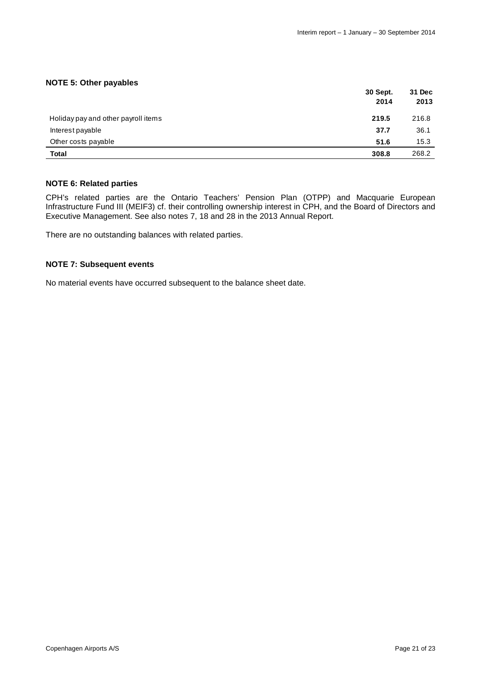#### **NOTE 5: Other payables**

|                                     | 30 Sept.<br>2014 | 31 Dec<br>2013 |
|-------------------------------------|------------------|----------------|
| Holiday pay and other payroll items | 219.5            | 216.8          |
| Interest payable                    | 37.7             | 36.1           |
| Other costs payable                 | 51.6             | 15.3           |
| Total                               | 308.8            | 268.2          |

#### **NOTE 6: Related parties**

CPH's related parties are the Ontario Teachers' Pension Plan (OTPP) and Macquarie European Infrastructure Fund III (MEIF3) cf. their controlling ownership interest in CPH, and the Board of Directors and Executive Management. See also notes 7, 18 and 28 in the 2013 Annual Report.

There are no outstanding balances with related parties.

#### **NOTE 7: Subsequent events**

No material events have occurred subsequent to the balance sheet date.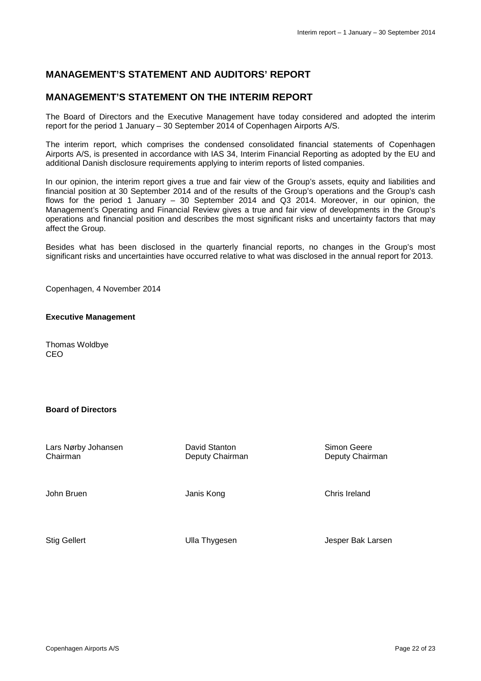## **MANAGEMENT'S STATEMENT AND AUDITORS' REPORT**

## **MANAGEMENT'S STATEMENT ON THE INTERIM REPORT**

The Board of Directors and the Executive Management have today considered and adopted the interim report for the period 1 January – 30 September 2014 of Copenhagen Airports A/S.

The interim report, which comprises the condensed consolidated financial statements of Copenhagen Airports A/S, is presented in accordance with IAS 34, Interim Financial Reporting as adopted by the EU and additional Danish disclosure requirements applying to interim reports of listed companies.

In our opinion, the interim report gives a true and fair view of the Group's assets, equity and liabilities and financial position at 30 September 2014 and of the results of the Group's operations and the Group's cash flows for the period 1 January – 30 September 2014 and Q3 2014. Moreover, in our opinion, the Management's Operating and Financial Review gives a true and fair view of developments in the Group's operations and financial position and describes the most significant risks and uncertainty factors that may affect the Group.

Besides what has been disclosed in the quarterly financial reports, no changes in the Group's most significant risks and uncertainties have occurred relative to what was disclosed in the annual report for 2013.

Copenhagen, 4 November 2014

#### **Executive Management**

Thomas Woldbye CEO

#### **Board of Directors**

| Lars Nørby Johansen<br>Chairman | David Stanton<br>Deputy Chairman | Simon Geere<br>Deputy Chairman |
|---------------------------------|----------------------------------|--------------------------------|
| John Bruen                      | Janis Kong                       | Chris Ireland                  |
| <b>Stig Gellert</b>             | Ulla Thygesen                    | Jesper Bak Larsen              |